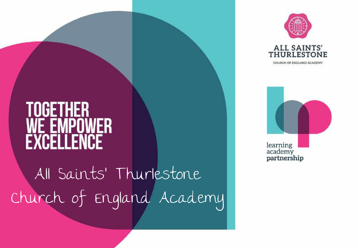



CHURCH OF ENGLAND ACADEMY



#### TOGETHER **EXCELLENCE**

All Saints' Thurlestone Church of England Academy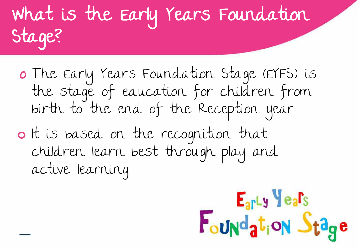#### What is the Early Years Foundation Stage?

- o The Early Years Foundation Stage (EYFS.) is the stage of education for children from birth to the end of the Reception year.
- **o** It is based on the recognition that children learn best through play and active learning.

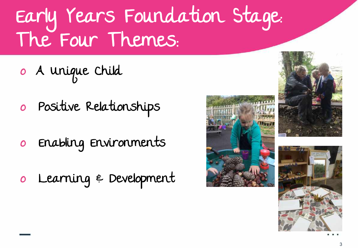#### Early Years Foundation Stage: The Four Themes:

- o A Unique Child
- o Positive Relationships
- o Enabling Environments
- o Learning & Development





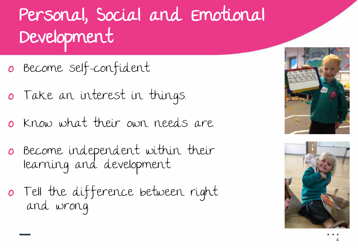#### Personal, Social and Emotional Development

- o Become self-confident.
- o Take an interest in things.
- o Know what their own needs are.
- o Become independent within their learning and development.
- o Tell the difference between right and wrong.



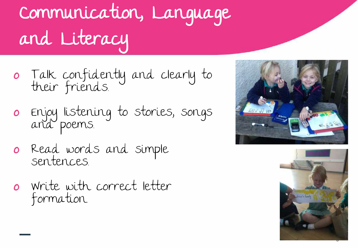### Communication, Language and Literacy

- o Talk confidently and clearly to their friends.
- o Enjoy listening to stories, songs and poems.
- o Read words and simple sentences.
- o Write with correct letter formation.



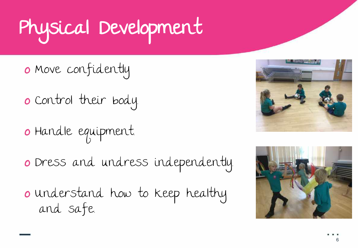## Physical Development

- o Move confidently
- o Control their body.
- o Handle equipment.
- o Dress and undress independently.
- o Understand how to keep healthy and safe.



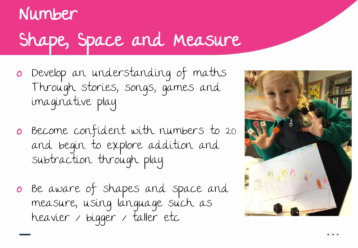#### Number Shape, Space and Measure

- o Develop an understanding of maths Through stories, songs, games and imaginative play.
- o Become confident with numbers to 20 and begin to explore addition and subtraction through play.
- o Be aware of shapes and space and measure, using language such as heavier / bigger / taller etc

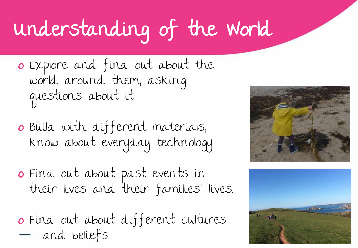## Understanding of the World

- o Explore and find out about the world around them, asking questions about it.
- o Build with different materials, know about everyday technology.
- o Find out about past events in their lives and their families' lives.
- o Find out about different cultures and beliefs.



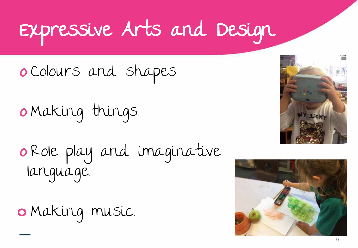#### Expressive Arts and Design

o Colours and shapes.

o Making things.

o Role play and imaginative language.

**o** Making music.



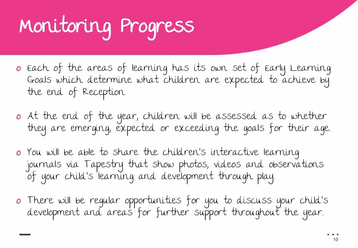## Monitoring Progress

- o Each of the areas of learning has its own set of Early Learning Goals which determine what children are expected to achieve by the end of Reception.
- o At the end of the year, children will be assessed as to whether they are emerging, expected or exceeding the goals for their age..
- o You will be able to share the children's interactive learning journals via Tapestry that show photos, videos and observations of your child's learning and development through play..
- o There will be regular opportunities for you to discuss your child's development and areas for further support throughout the year..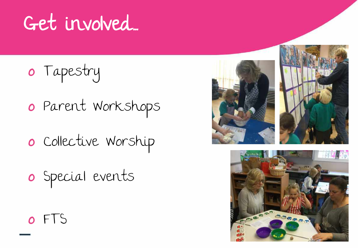#### Get involved...

- o Tapestry
- o Parent Workshops
- o Collective Worship
- o Special events





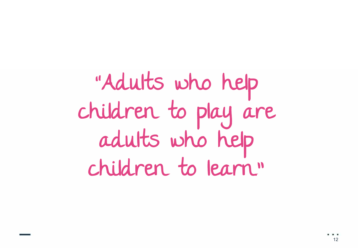"Adults who help children to play are adults who help children to learn."